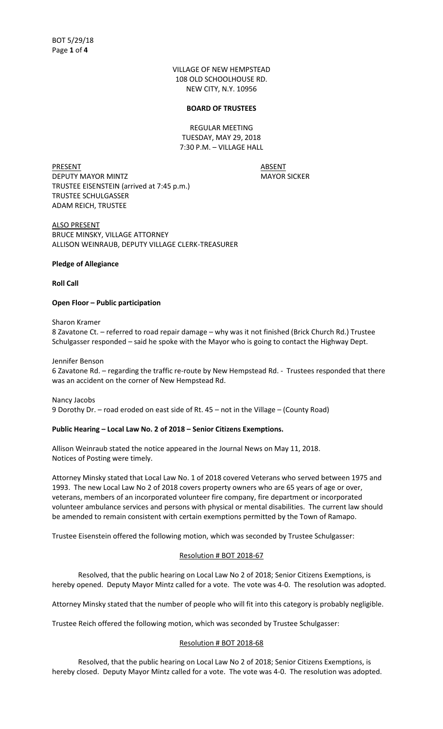VILLAGE OF NEW HEMPSTEAD 108 OLD SCHOOLHOUSE RD. NEW CITY, N.Y. 10956

#### **BOARD OF TRUSTEES**

REGULAR MEETING TUESDAY, MAY 29, 2018 7:30 P.M. – VILLAGE HALL

PRESENT ABSENT DEPUTY MAYOR MINTZ MAYOR SICKER TRUSTEE EISENSTEIN (arrived at 7:45 p.m.) TRUSTEE SCHULGASSER ADAM REICH, TRUSTEE

ALSO PRESENT BRUCE MINSKY, VILLAGE ATTORNEY ALLISON WEINRAUB, DEPUTY VILLAGE CLERK-TREASURER

## **Pledge of Allegiance**

**Roll Call**

## **Open Floor – Public participation**

Sharon Kramer

8 Zavatone Ct. – referred to road repair damage – why was it not finished (Brick Church Rd.) Trustee Schulgasser responded – said he spoke with the Mayor who is going to contact the Highway Dept.

Jennifer Benson

6 Zavatone Rd. – regarding the traffic re-route by New Hempstead Rd. - Trustees responded that there was an accident on the corner of New Hempstead Rd.

Nancy Jacobs 9 Dorothy Dr. – road eroded on east side of Rt. 45 – not in the Village – (County Road)

# **Public Hearing – Local Law No. 2 of 2018 – Senior Citizens Exemptions.**

Allison Weinraub stated the notice appeared in the Journal News on May 11, 2018. Notices of Posting were timely.

Attorney Minsky stated that Local Law No. 1 of 2018 covered Veterans who served between 1975 and 1993. The new Local Law No 2 of 2018 covers property owners who are 65 years of age or over, veterans, members of an incorporated volunteer fire company, fire department or incorporated volunteer ambulance services and persons with physical or mental disabilities. The current law should be amended to remain consistent with certain exemptions permitted by the Town of Ramapo.

Trustee Eisenstein offered the following motion, which was seconded by Trustee Schulgasser:

## Resolution # BOT 2018-67

Resolved, that the public hearing on Local Law No 2 of 2018; Senior Citizens Exemptions, is hereby opened. Deputy Mayor Mintz called for a vote. The vote was 4-0. The resolution was adopted.

Attorney Minsky stated that the number of people who will fit into this category is probably negligible.

Trustee Reich offered the following motion, which was seconded by Trustee Schulgasser:

#### Resolution # BOT 2018-68

Resolved, that the public hearing on Local Law No 2 of 2018; Senior Citizens Exemptions, is hereby closed. Deputy Mayor Mintz called for a vote. The vote was 4-0. The resolution was adopted.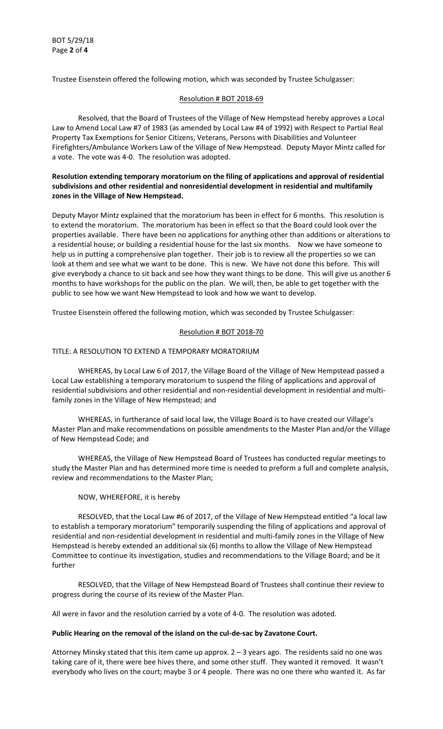Trustee Eisenstein offered the following motion, which was seconded by Trustee Schulgasser:

# Resolution # BOT 2018-69

Resolved, that the Board of Trustees of the Village of New Hempstead hereby approves a Local Law to Amend Local Law #7 of 1983 (as amended by Local Law #4 of 1992) with Respect to Partial Real Property Tax Exemptions for Senior Citizens, Veterans, Persons with Disabilities and Volunteer Firefighters/Ambulance Workers Law of the Village of New Hempstead. Deputy Mayor Mintz called for a vote. The vote was 4-0. The resolution was adopted.

# **Resolution extending temporary moratorium on the filing of applications and approval of residential subdivisions and other residential and nonresidential development in residential and multifamily zones in the Village of New Hempstead.**

Deputy Mayor Mintz explained that the moratorium has been in effect for 6 months. This resolution is to extend the moratorium. The moratorium has been in effect so that the Board could look over the properties available. There have been no applications for anything other than additions or alterations to a residential house; or building a residential house for the last six months. Now we have someone to help us in putting a comprehensive plan together. Their job is to review all the properties so we can look at them and see what we want to be done. This is new. We have not done this before. This will give everybody a chance to sit back and see how they want things to be done. This will give us another 6 months to have workshops for the public on the plan. We will, then, be able to get together with the public to see how we want New Hempstead to look and how we want to develop.

Trustee Eisenstein offered the following motion, which was seconded by Trustee Schulgasser:

## Resolution # BOT 2018-70

#### TITLE: A RESOLUTION TO EXTEND A TEMPORARY MORATORIUM

WHEREAS, by Local Law 6 of 2017, the Village Board of the Village of New Hempstead passed a Local Law establishing a temporary moratorium to suspend the filing of applications and approval of residential subdivisions and other residential and non-residential development in residential and multifamily zones in the Village of New Hempstead; and

WHEREAS, in furtherance of said local law, the Village Board is to have created our Village's Master Plan and make recommendations on possible amendments to the Master Plan and/or the Village of New Hempstead Code; and

WHEREAS, the Village of New Hempstead Board of Trustees has conducted regular meetings to study the Master Plan and has determined more time is needed to preform a full and complete analysis, review and recommendations to the Master Plan;

#### NOW, WHEREFORE, it is hereby

RESOLVED, that the Local Law #6 of 2017, of the Village of New Hempstead entitled "a local law to establish a temporary moratorium" temporarily suspending the filing of applications and approval of residential and non-residential development in residential and multi-family zones in the Village of New Hempstead is hereby extended an additional six (6) months to allow the Village of New Hempstead Committee to continue its investigation, studies and recommendations to the Village Board; and be it further

RESOLVED, that the Village of New Hempstead Board of Trustees shall continue their review to progress during the course of its review of the Master Plan.

All were in favor and the resolution carried by a vote of 4-0. The resolution was adoted.

#### **Public Hearing on the removal of the island on the cul-de-sac by Zavatone Court.**

Attorney Minsky stated that this item came up approx. 2 – 3 years ago. The residents said no one was taking care of it, there were bee hives there, and some other stuff. They wanted it removed. It wasn't everybody who lives on the court; maybe 3 or 4 people. There was no one there who wanted it. As far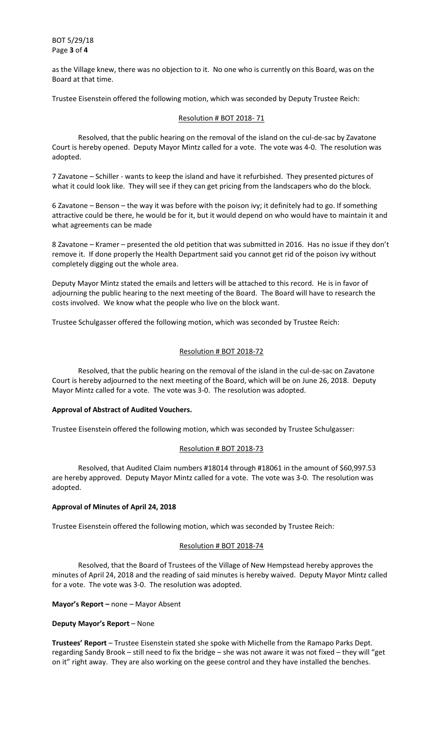BOT 5/29/18 Page **3** of **4**

as the Village knew, there was no objection to it. No one who is currently on this Board, was on the Board at that time.

Trustee Eisenstein offered the following motion, which was seconded by Deputy Trustee Reich:

## Resolution # BOT 2018- 71

Resolved, that the public hearing on the removal of the island on the cul-de-sac by Zavatone Court is hereby opened. Deputy Mayor Mintz called for a vote. The vote was 4-0. The resolution was adopted.

7 Zavatone – Schiller - wants to keep the island and have it refurbished. They presented pictures of what it could look like. They will see if they can get pricing from the landscapers who do the block.

6 Zavatone – Benson – the way it was before with the poison ivy; it definitely had to go. If something attractive could be there, he would be for it, but it would depend on who would have to maintain it and what agreements can be made

8 Zavatone – Kramer – presented the old petition that was submitted in 2016. Has no issue if they don't remove it. If done properly the Health Department said you cannot get rid of the poison ivy without completely digging out the whole area.

Deputy Mayor Mintz stated the emails and letters will be attached to this record. He is in favor of adjourning the public hearing to the next meeting of the Board. The Board will have to research the costs involved. We know what the people who live on the block want.

Trustee Schulgasser offered the following motion, which was seconded by Trustee Reich:

## Resolution # BOT 2018-72

Resolved, that the public hearing on the removal of the island in the cul-de-sac on Zavatone Court is hereby adjourned to the next meeting of the Board, which will be on June 26, 2018. Deputy Mayor Mintz called for a vote. The vote was 3-0. The resolution was adopted.

#### **Approval of Abstract of Audited Vouchers.**

Trustee Eisenstein offered the following motion, which was seconded by Trustee Schulgasser:

# Resolution # BOT 2018-73

Resolved, that Audited Claim numbers #18014 through #18061 in the amount of \$60,997.53 are hereby approved. Deputy Mayor Mintz called for a vote. The vote was 3-0. The resolution was adopted.

#### **Approval of Minutes of April 24, 2018**

Trustee Eisenstein offered the following motion, which was seconded by Trustee Reich:

#### Resolution # BOT 2018-74

Resolved, that the Board of Trustees of the Village of New Hempstead hereby approves the minutes of April 24, 2018 and the reading of said minutes is hereby waived. Deputy Mayor Mintz called for a vote. The vote was 3-0. The resolution was adopted.

**Mayor's Report –** none – Mayor Absent

#### **Deputy Mayor's Report** – None

**Trustees' Report** – Trustee Eisenstein stated she spoke with Michelle from the Ramapo Parks Dept. regarding Sandy Brook – still need to fix the bridge – she was not aware it was not fixed – they will "get on it" right away. They are also working on the geese control and they have installed the benches.